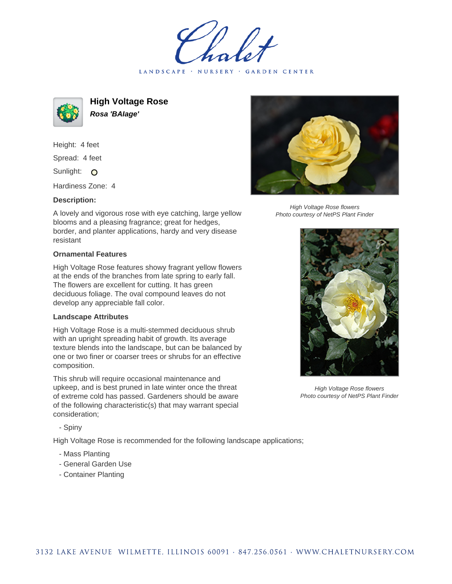LANDSCAPE · NURSERY · GARDEN CENTER



**High Voltage Rose Rosa 'BAIage'**

Height: 4 feet Spread: 4 feet Sunlight: O

Hardiness Zone: 4

## **Description:**

A lovely and vigorous rose with eye catching, large yellow blooms and a pleasing fragrance; great for hedges, border, and planter applications, hardy and very disease resistant

## **Ornamental Features**

High Voltage Rose features showy fragrant yellow flowers at the ends of the branches from late spring to early fall. The flowers are excellent for cutting. It has green deciduous foliage. The oval compound leaves do not develop any appreciable fall color.

## **Landscape Attributes**

High Voltage Rose is a multi-stemmed deciduous shrub with an upright spreading habit of growth. Its average texture blends into the landscape, but can be balanced by one or two finer or coarser trees or shrubs for an effective composition.

This shrub will require occasional maintenance and upkeep, and is best pruned in late winter once the threat of extreme cold has passed. Gardeners should be aware of the following characteristic(s) that may warrant special consideration;

- Spiny

High Voltage Rose is recommended for the following landscape applications;

- Mass Planting
- General Garden Use
- Container Planting



High Voltage Rose flowers Photo courtesy of NetPS Plant Finder



High Voltage Rose flowers Photo courtesy of NetPS Plant Finder